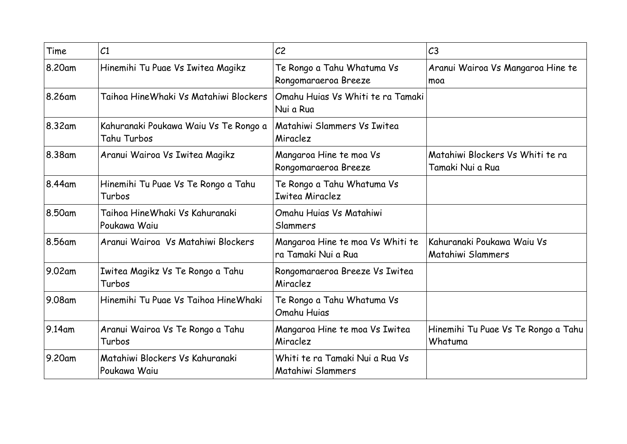| Time    | C <sub>1</sub>                                       | C <sub>2</sub>                                          | C <sub>3</sub>                                       |
|---------|------------------------------------------------------|---------------------------------------------------------|------------------------------------------------------|
| 8.20am  | Hinemihi Tu Puae Vs Iwitea Magikz                    | Te Rongo a Tahu Whatuma Vs<br>Rongomaraeroa Breeze      | Aranui Wairoa Vs Mangaroa Hine te<br>moa             |
| 8.26am  | Taihoa HineWhaki Vs Matahiwi Blockers                | Omahu Huias Vs Whiti te ra Tamaki<br>Nui a Rua          |                                                      |
| 8.32am  | Kahuranaki Poukawa Waiu Vs Te Rongo a<br>Tahu Turbos | Matahiwi Slammers Vs Iwitea<br>Miraclez                 |                                                      |
| 8.38am  | Aranui Wairoa Vs Iwitea Magikz                       | Mangaroa Hine te moa Vs<br>Rongomaraeroa Breeze         | Matahiwi Blockers Vs Whiti te ra<br>Tamaki Nui a Rua |
| 8.44am  | Hinemihi Tu Puae Vs Te Rongo a Tahu<br>Turbos        | Te Rongo a Tahu Whatuma Vs<br><b>Iwitea Miraclez</b>    |                                                      |
| 8.50am  | Taihoa HineWhaki Vs Kahuranaki<br>Poukawa Waiu       | Omahu Huias Vs Matahiwi<br>Slammers                     |                                                      |
| 8.56am  | Aranui Wairoa Vs Matahiwi Blockers                   | Mangaroa Hine te moa Vs Whiti te<br>ra Tamaki Nui a Rua | Kahuranaki Poukawa Waiu Vs<br>Matahiwi Slammers      |
| 9.02 am | Iwitea Magikz Vs Te Rongo a Tahu<br>Turbos           | Rongomaraeroa Breeze Vs Iwitea<br>Miraclez              |                                                      |
| 9.08 am | Hinemihi Tu Puae Vs Taihoa Hine Whaki                | Te Rongo a Tahu Whatuma Vs<br>Omahu Huias               |                                                      |
| 9.14am  | Aranui Wairoa Vs Te Rongo a Tahu<br>Turbos           | Mangaroa Hine te moa Vs Iwitea<br>Miraclez              | Hinemihi Tu Puae Vs Te Rongo a Tahu<br>Whatuma       |
| 9.20am  | Matahiwi Blockers Vs Kahuranaki<br>Poukawa Waiu      | Whiti te ra Tamaki Nui a Rua Vs<br>Matahiwi Slammers    |                                                      |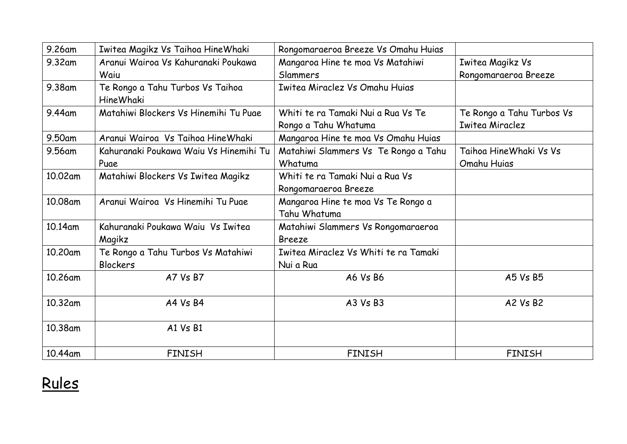| 9.26am  | Iwitea Magikz Vs Taihoa HineWhaki                    | Rongomaraeroa Breeze Vs Omahu Huias   |                           |
|---------|------------------------------------------------------|---------------------------------------|---------------------------|
| 9.32am  | Aranui Wairoa Vs Kahuranaki Poukawa                  | Mangaroa Hine te moa Vs Matahiwi      | Iwitea Magikz Vs          |
|         | Waiu                                                 | Slammers                              | Rongomaraeroa Breeze      |
| 9.38am  | Te Rongo a Tahu Turbos Vs Taihoa<br><b>HineWhaki</b> | Iwitea Miraclez Vs Omahu Huias        |                           |
| 9.44am  | Matahiwi Blockers Vs Hinemihi Tu Puae                | Whiti te ra Tamaki Nui a Rua Vs Te    | Te Rongo a Tahu Turbos Vs |
|         |                                                      | Rongo a Tahu Whatuma                  | <b>Iwitea Miraclez</b>    |
| 9.50am  | Aranui Wairoa Vs Taihoa Hine Whaki                   | Mangaroa Hine te moa Vs Omahu Huias   |                           |
| 9.56am  | Kahuranaki Poukawa Waiu Vs Hinemihi Tu               | Matahiwi Slammers Vs Te Rongo a Tahu  | Taihoa Hine Whaki Vs Vs   |
|         | Puae                                                 | Whatuma                               | Omahu Huias               |
| 10.02am | Matahiwi Blockers Vs Iwitea Magikz                   | Whiti te ra Tamaki Nui a Rua Vs       |                           |
|         |                                                      | Rongomaraeroa Breeze                  |                           |
| 10.08am | Aranui Wairoa Vs Hinemihi Tu Puae                    | Mangaroa Hine te moa Vs Te Rongo a    |                           |
|         |                                                      | Tahu Whatuma                          |                           |
| 10.14am | Kahuranaki Poukawa Waiu Vs Iwitea                    | Matahiwi Slammers Vs Rongomaraeroa    |                           |
|         | Magikz                                               | <b>Breeze</b>                         |                           |
| 10.20am | Te Rongo a Tahu Turbos Vs Matahiwi                   | Iwitea Miraclez Vs Whiti te ra Tamaki |                           |
|         | Blockers                                             | Nui a Rua                             |                           |
| 10.26am | A7 Vs B7                                             | A6 Vs B6                              | A5 Vs B5                  |
| 10.32am | A4 Vs B4                                             | A3 Vs B3                              | A2 Vs B2                  |
|         |                                                      |                                       |                           |
| 10.38am | A1 Vs B1                                             |                                       |                           |
| 10.44am | <b>FINISH</b>                                        | <b>FINISH</b>                         | <b>FINISH</b>             |

## Rules